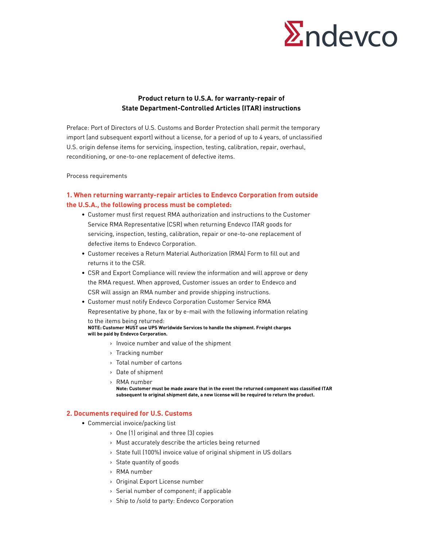

# **Product return to U.S.A. for warranty-repair of State Department-Controlled Articles (ITAR) instructions**

Preface: Port of Directors of U.S. Customs and Border Protection shall permit the temporary import (and subsequent export) without a license, for a period of up to 4 years, of unclassified U.S. origin defense items for servicing, inspection, testing, calibration, repair, overhaul, reconditioning, or one-to-one replacement of defective items.

Process requirements

## **1. When returning warranty-repair articles to Endevco Corporation from outside the U.S.A., the following process must be completed:**

- Customer must first request RMA authorization and instructions to the Customer Service RMA Representative (CSR) when returning Endevco ITAR goods for servicing, inspection, testing, calibration, repair or one-to-one replacement of defective items to Endevco Corporation.
- Customer receives a Return Material Authorization (RMA) Form to fill out and returns it to the CSR.
- CSR and Export Compliance will review the information and will approve or deny the RMA request. When approved, Customer issues an order to Endevco and CSR will assign an RMA number and provide shipping instructions.
- Customer must notify Endevco Corporation Customer Service RMA Representative by phone, fax or by e-mail with the following information relating to the items being returned:

**NOTE: Customer MUST use UPS Worldwide Services to handle the shipment. Freight charges will be paid by Endevco Corporation.**

- > Invoice number and value of the shipment
- > Tracking number
- > Total number of cartons
- > Date of shipment
- > RMA number

**Note: Customer must be made aware that in the event the returned component was classified ITAR subsequent to original shipment date, a new license will be required to return the product.**

#### **2. Documents required for U.S. Customs**

- Commercial invoice/packing list
	- > One (1) original and three (3) copies
	- > Must accurately describe the articles being returned
	- > State full (100%) invoice value of original shipment in US dollars
	- > State quantity of goods
	- > RMA number
	- > Original Export License number
	- > Serial number of component; if applicable
	- > Ship to /sold to party: Endevco Corporation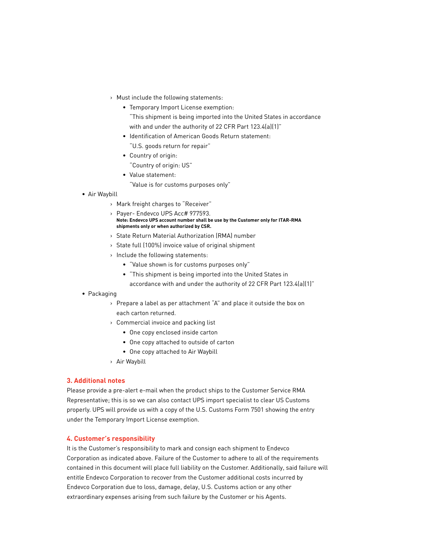- > Must include the following statements:
	- Temporary Import License exemption:
		- "This shipment is being imported into the United States in accordance with and under the authority of 22 CFR Part 123.4(a)(1)"
	- Identification of American Goods Return statement: "U.S. goods return for repair"
	- Country of origin: "Country of origin: US"
	- Value statement:
		- "Value is for customs purposes only"
- Air Waybill
	- > Mark freight charges to "Receiver"
	- > Payer- Endevco UPS Acc# 977593. **Note: Endevco UPS account number shall be use by the Customer only for ITAR-RMA shipments only or when authorized by CSR.**
	- > State Return Material Authorization (RMA) number
	- > State full (100%) invoice value of original shipment
	- > Include the following statements:
		- "Value shown is for customs purposes only"
		- "This shipment is being imported into the United States in
		- accordance with and under the authority of 22 CFR Part 123.4(a)(1)"
- Packaging
	- > Prepare a label as per attachment "A" and place it outside the box on each carton returned.
	- > Commercial invoice and packing list
		- One copy enclosed inside carton
		- One copy attached to outside of carton
		- One copy attached to Air Waybill
	- > Air Waybill

#### **3. Additional notes**

Please provide a pre-alert e-mail when the product ships to the Customer Service RMA Representative; this is so we can also contact UPS import specialist to clear US Customs properly. UPS will provide us with a copy of the U.S. Customs Form 7501 showing the entry under the Temporary Import License exemption.

### **4. Customer's responsibility**

It is the Customer's responsibility to mark and consign each shipment to Endevco Corporation as indicated above. Failure of the Customer to adhere to all of the requirements contained in this document will place full liability on the Customer. Additionally, said failure will entitle Endevco Corporation to recover from the Customer additional costs incurred by Endevco Corporation due to loss, damage, delay, U.S. Customs action or any other extraordinary expenses arising from such failure by the Customer or his Agents.